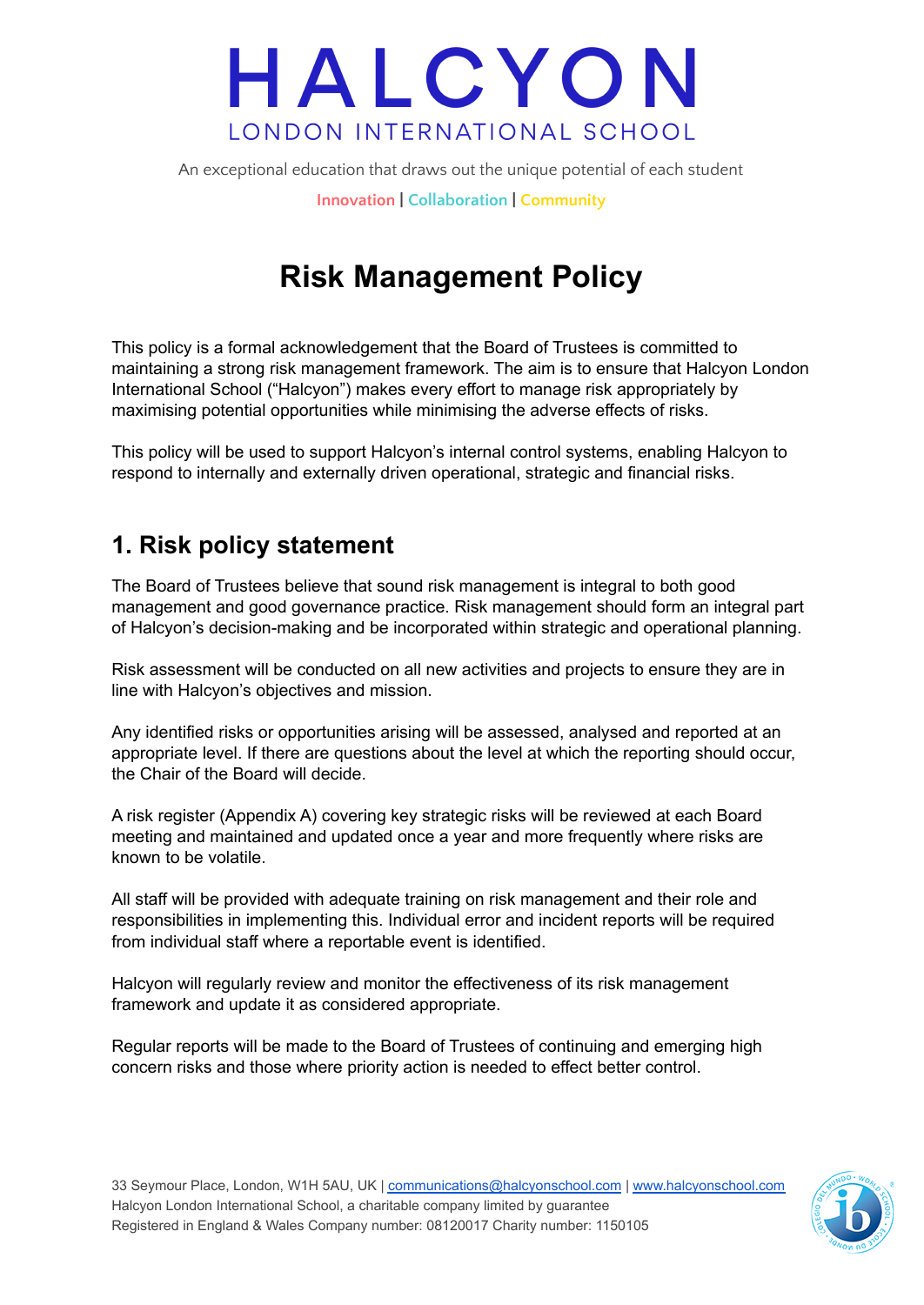An exceptional education that draws out the unique potential of each student

**Innovation | Collaboration | Community**

### **Risk Management Policy**

This policy is a formal acknowledgement that the Board of Trustees is committed to maintaining a strong risk management framework. The aim is to ensure that Halcyon London International School ("Halcyon") makes every effort to manage risk appropriately by maximising potential opportunities while minimising the adverse effects of risks.

This policy will be used to support Halcyon's internal control systems, enabling Halcyon to respond to internally and externally driven operational, strategic and financial risks.

### **1. Risk policy statement**

The Board of Trustees believe that sound risk management is integral to both good management and good governance practice. Risk management should form an integral part of Halcyon's decision-making and be incorporated within strategic and operational planning.

Risk assessment will be conducted on all new activities and projects to ensure they are in line with Halcyon's objectives and mission.

Any identified risks or opportunities arising will be assessed, analysed and reported at an appropriate level. If there are questions about the level at which the reporting should occur, the Chair of the Board will decide.

A risk register (Appendix A) covering key strategic risks will be reviewed at each Board meeting and maintained and updated once a year and more frequently where risks are known to be volatile.

All staff will be provided with adequate training on risk management and their role and responsibilities in implementing this. Individual error and incident reports will be required from individual staff where a reportable event is identified.

Halcyon will regularly review and monitor the effectiveness of its risk management framework and update it as considered appropriate.

Regular reports will be made to the Board of Trustees of continuing and emerging high concern risks and those where priority action is needed to effect better control.

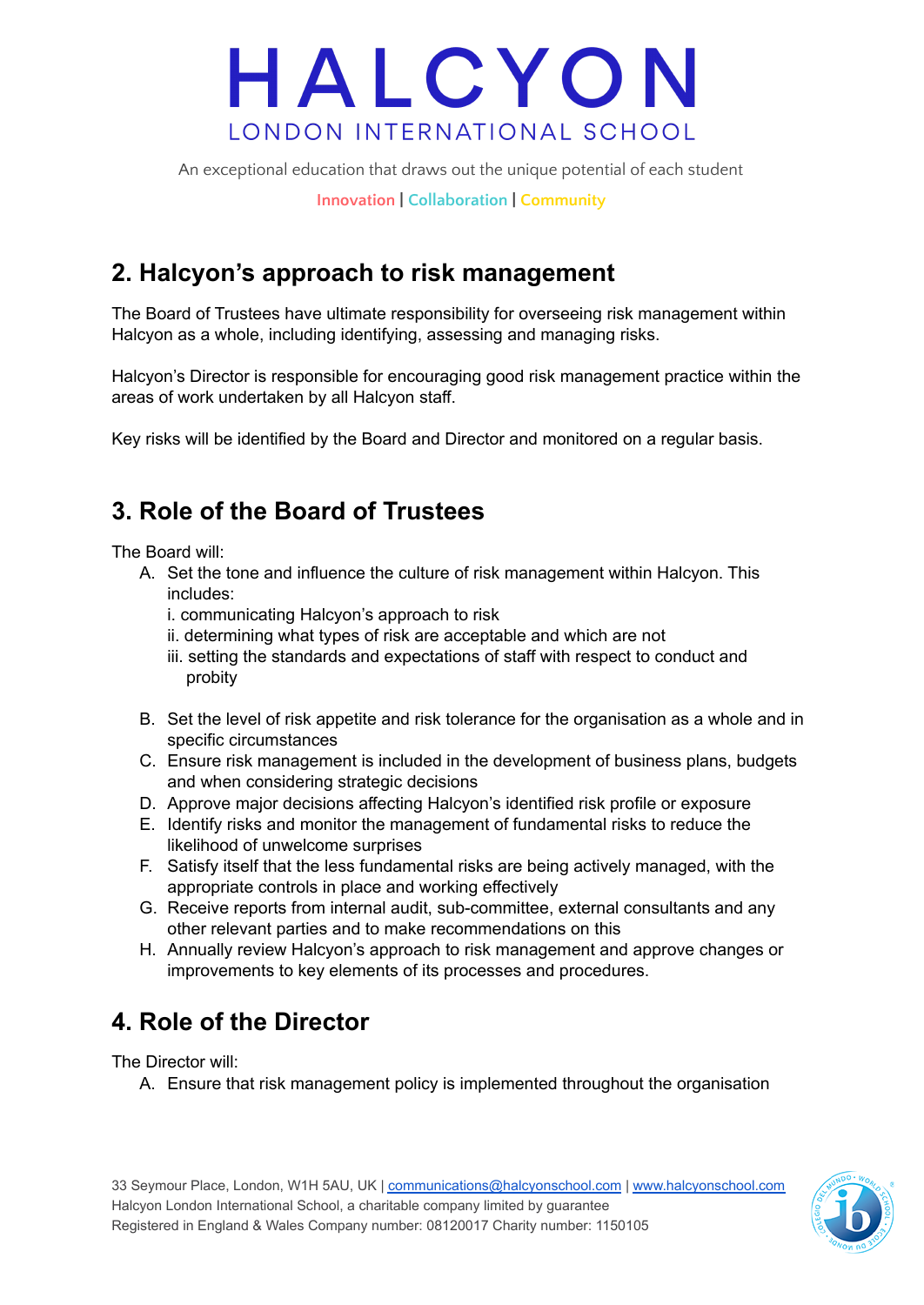An exceptional education that draws out the unique potential of each student

**Innovation | Collaboration | Community**

#### **2. Halcyon's approach to risk management**

The Board of Trustees have ultimate responsibility for overseeing risk management within Halcyon as a whole, including identifying, assessing and managing risks.

Halcyon's Director is responsible for encouraging good risk management practice within the areas of work undertaken by all Halcyon staff.

Key risks will be identified by the Board and Director and monitored on a regular basis.

### **3. Role of the Board of Trustees**

The Board will:

- A. Set the tone and influence the culture of risk management within Halcyon. This includes:
	- i. communicating Halcyon's approach to risk
	- ii. determining what types of risk are acceptable and which are not
	- iii. setting the standards and expectations of staff with respect to conduct and probity
- B. Set the level of risk appetite and risk tolerance for the organisation as a whole and in specific circumstances
- C. Ensure risk management is included in the development of business plans, budgets and when considering strategic decisions
- D. Approve major decisions affecting Halcyon's identified risk profile or exposure
- E. Identify risks and monitor the management of fundamental risks to reduce the likelihood of unwelcome surprises
- F. Satisfy itself that the less fundamental risks are being actively managed, with the appropriate controls in place and working effectively
- G. Receive reports from internal audit, sub-committee, external consultants and any other relevant parties and to make recommendations on this
- H. Annually review Halcyon's approach to risk management and approve changes or improvements to key elements of its processes and procedures.

### **4. Role of the Director**

The Director will:

A. Ensure that risk management policy is implemented throughout the organisation

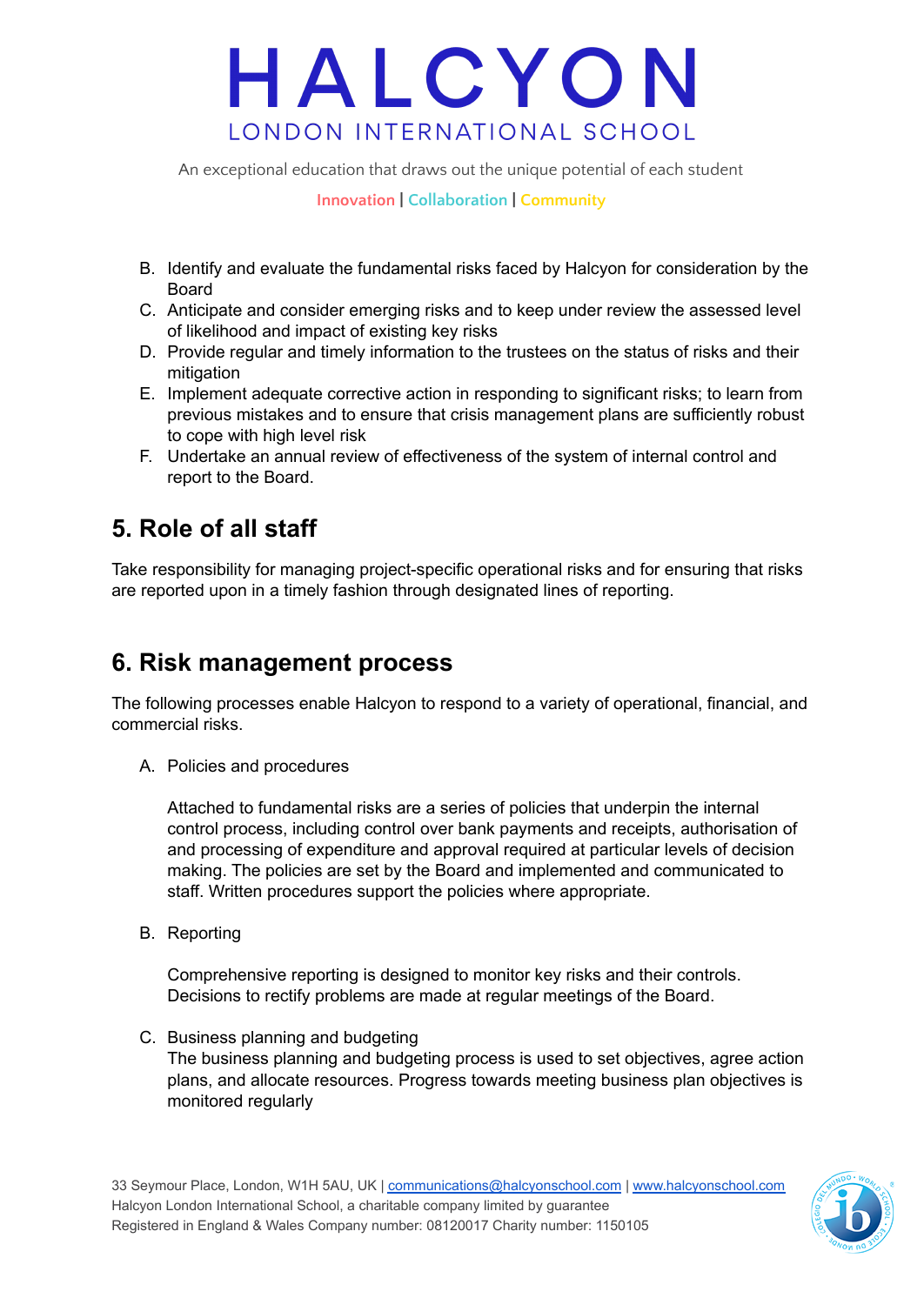An exceptional education that draws out the unique potential of each student

**Innovation | Collaboration | Community**

- B. Identify and evaluate the fundamental risks faced by Halcyon for consideration by the Board
- C. Anticipate and consider emerging risks and to keep under review the assessed level of likelihood and impact of existing key risks
- D. Provide regular and timely information to the trustees on the status of risks and their mitigation
- E. Implement adequate corrective action in responding to significant risks; to learn from previous mistakes and to ensure that crisis management plans are sufficiently robust to cope with high level risk
- F. Undertake an annual review of effectiveness of the system of internal control and report to the Board.

#### **5. Role of all staff**

Take responsibility for managing project-specific operational risks and for ensuring that risks are reported upon in a timely fashion through designated lines of reporting.

#### **6. Risk management process**

The following processes enable Halcyon to respond to a variety of operational, financial, and commercial risks.

A. Policies and procedures

Attached to fundamental risks are a series of policies that underpin the internal control process, including control over bank payments and receipts, authorisation of and processing of expenditure and approval required at particular levels of decision making. The policies are set by the Board and implemented and communicated to staff. Written procedures support the policies where appropriate.

B. Reporting

Comprehensive reporting is designed to monitor key risks and their controls. Decisions to rectify problems are made at regular meetings of the Board.

C. Business planning and budgeting The business planning and budgeting process is used to set objectives, agree action plans, and allocate resources. Progress towards meeting business plan objectives is monitored regularly

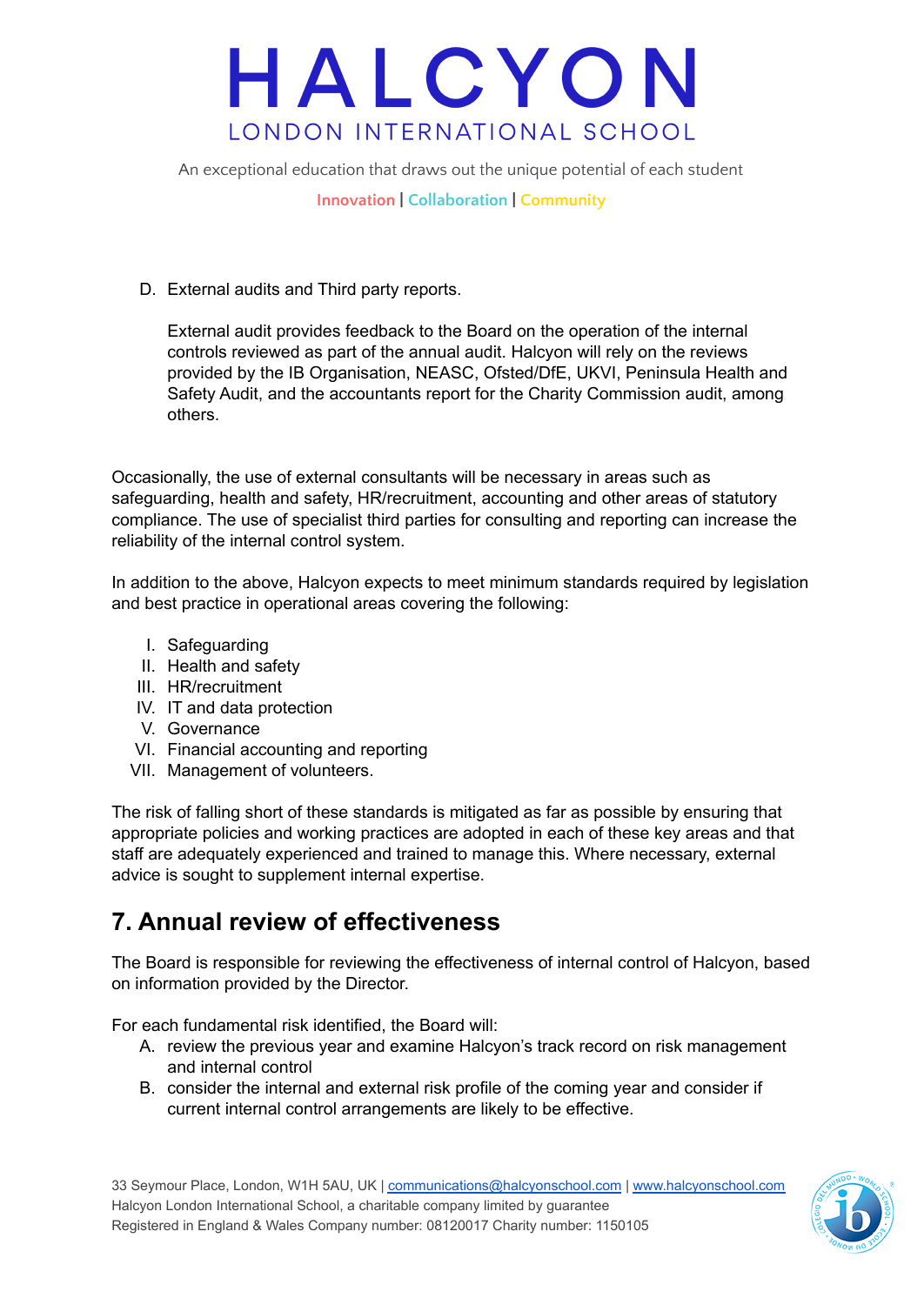An exceptional education that draws out the unique potential of each student

**Innovation | Collaboration | Community**

D. External audits and Third party reports.

External audit provides feedback to the Board on the operation of the internal controls reviewed as part of the annual audit. Halcyon will rely on the reviews provided by the IB Organisation, NEASC, Ofsted/DfE, UKVI, Peninsula Health and Safety Audit, and the accountants report for the Charity Commission audit, among others.

Occasionally, the use of external consultants will be necessary in areas such as safeguarding, health and safety, HR/recruitment, accounting and other areas of statutory compliance. The use of specialist third parties for consulting and reporting can increase the reliability of the internal control system.

In addition to the above, Halcyon expects to meet minimum standards required by legislation and best practice in operational areas covering the following:

- I. Safeguarding
- II. Health and safety
- III. HR/recruitment
- IV. IT and data protection
- V. Governance
- VI. Financial accounting and reporting
- VII. Management of volunteers.

The risk of falling short of these standards is mitigated as far as possible by ensuring that appropriate policies and working practices are adopted in each of these key areas and that staff are adequately experienced and trained to manage this. Where necessary, external advice is sought to supplement internal expertise.

#### **7. Annual review of effectiveness**

The Board is responsible for reviewing the effectiveness of internal control of Halcyon, based on information provided by the Director.

For each fundamental risk identified, the Board will:

- A. review the previous year and examine Halcyon's track record on risk management and internal control
- B. consider the internal and external risk profile of the coming year and consider if current internal control arrangements are likely to be effective.